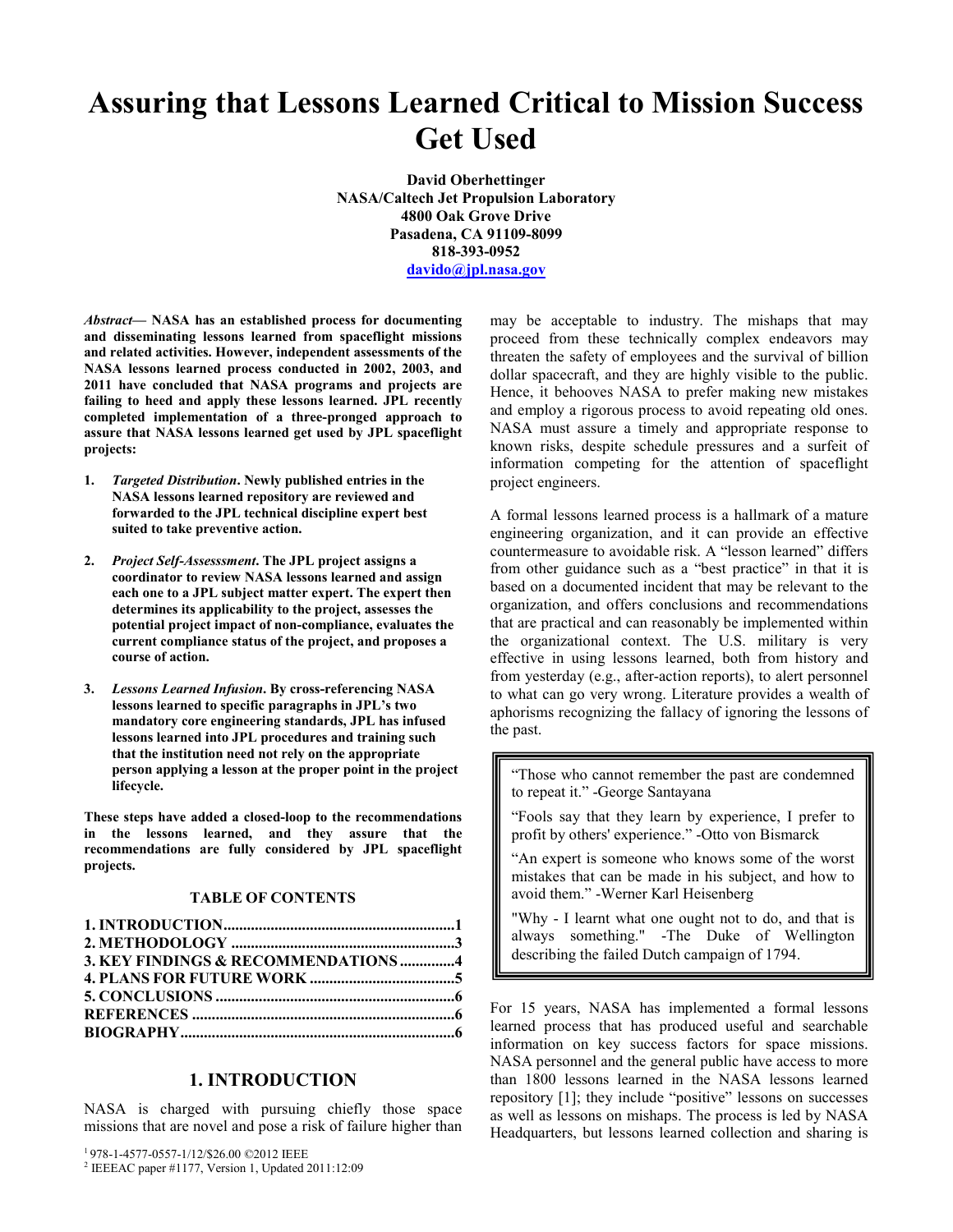# **Assuring that Lessons Learned Critical to Mission Success Get Used**

**David Oberhettinger NASA/Caltech Jet Propulsion Laboratory 4800 Oak Grove Drive Pasadena, CA 91109-8099 818-393-0952 [davido@jpl.nasa.gov](mailto:davido@jpl.nasa.gov)**

*Abstract***— NASA has an established process for documenting and disseminating lessons learned from spaceflight missions and related activities. However, independent assessments of the NASA lessons learned process conducted in 2002, 2003, and 2011 have concluded that NASA programs and projects are failing to heed and apply these lessons learned. JPL recently completed implementation of a three-pronged approach to assure that NASA lessons learned get used by JPL spaceflight projects:**

- **1.** *Targeted Distribution***. Newly published entries in the NASA lessons learned repository are reviewed and forwarded to the JPL technical discipline expert best suited to take preventive action.**
- **2.** *Project Self-Assesssment***. The JPL project assigns a coordinator to review NASA lessons learned and assign each one to a JPL subject matter expert. The expert then determines its applicability to the project, assesses the potential project impact of non-compliance, evaluates the current compliance status of the project, and proposes a course of action.**
- **3.** *Lessons Learned Infusion***. By cross-referencing NASA lessons learned to specific paragraphs in JPL's two mandatory core engineering standards, JPL has infused lessons learned into JPL procedures and training such that the institution need not rely on the appropriate person applying a lesson at the proper point in the project lifecycle.**

**These steps have added a closed-loop to the recommendations in the lessons learned, and they assure that the recommendations are fully considered by JPL spaceflight projects.** 

#### **TABLE OF CONTENTS**

| 3. KEY FINDINGS & RECOMMENDATIONS 4 |  |
|-------------------------------------|--|
|                                     |  |
|                                     |  |
|                                     |  |
|                                     |  |

# **1. INTRODUCTION**

NASA is charged with pursuing chiefly those space missions that are novel and pose a risk of failure higher than

<sup>1</sup>978-1-4577-0557-1/12/\$26.00 ©2012 IEEE<br><sup>2</sup> IEEEAC paper #1177, Version 1, Updated 2011:12:09

may be acceptable to industry. The mishaps that may proceed from these technically complex endeavors may threaten the safety of employees and the survival of billion dollar spacecraft, and they are highly visible to the public. Hence, it behooves NASA to prefer making new mistakes and employ a rigorous process to avoid repeating old ones. NASA must assure a timely and appropriate response to known risks, despite schedule pressures and a surfeit of information competing for the attention of spaceflight project engineers.

A formal lessons learned process is a hallmark of a mature engineering organization, and it can provide an effective countermeasure to avoidable risk. A "lesson learned" differs from other guidance such as a "best practice" in that it is based on a documented incident that may be relevant to the organization, and offers conclusions and recommendations that are practical and can reasonably be implemented within the organizational context. The U.S. military is very effective in using lessons learned, both from history and from yesterday (e.g., after-action reports), to alert personnel to what can go very wrong. Literature provides a wealth of aphorisms recognizing the fallacy of ignoring the lessons of the past.

"Those who cannot remember the past are condemned to repeat it." -George Santayana

"Fools say that they learn by experience, I prefer to profit by others' experience." -Otto von Bismarck

"An expert is someone who knows some of the worst mistakes that can be made in his subject, and how to avoid them." -Werner Karl Heisenberg

"Why - I learnt what one ought not to do, and that is always something." -The Duke of Wellington describing the failed Dutch campaign of 1794.

For 15 years, NASA has implemented a formal lessons learned process that has produced useful and searchable information on key success factors for space missions. NASA personnel and the general public have access to more than 1800 lessons learned in the NASA lessons learned repository [1]; they include "positive" lessons on successes as well as lessons on mishaps. The process is led by NASA Headquarters, but lessons learned collection and sharing is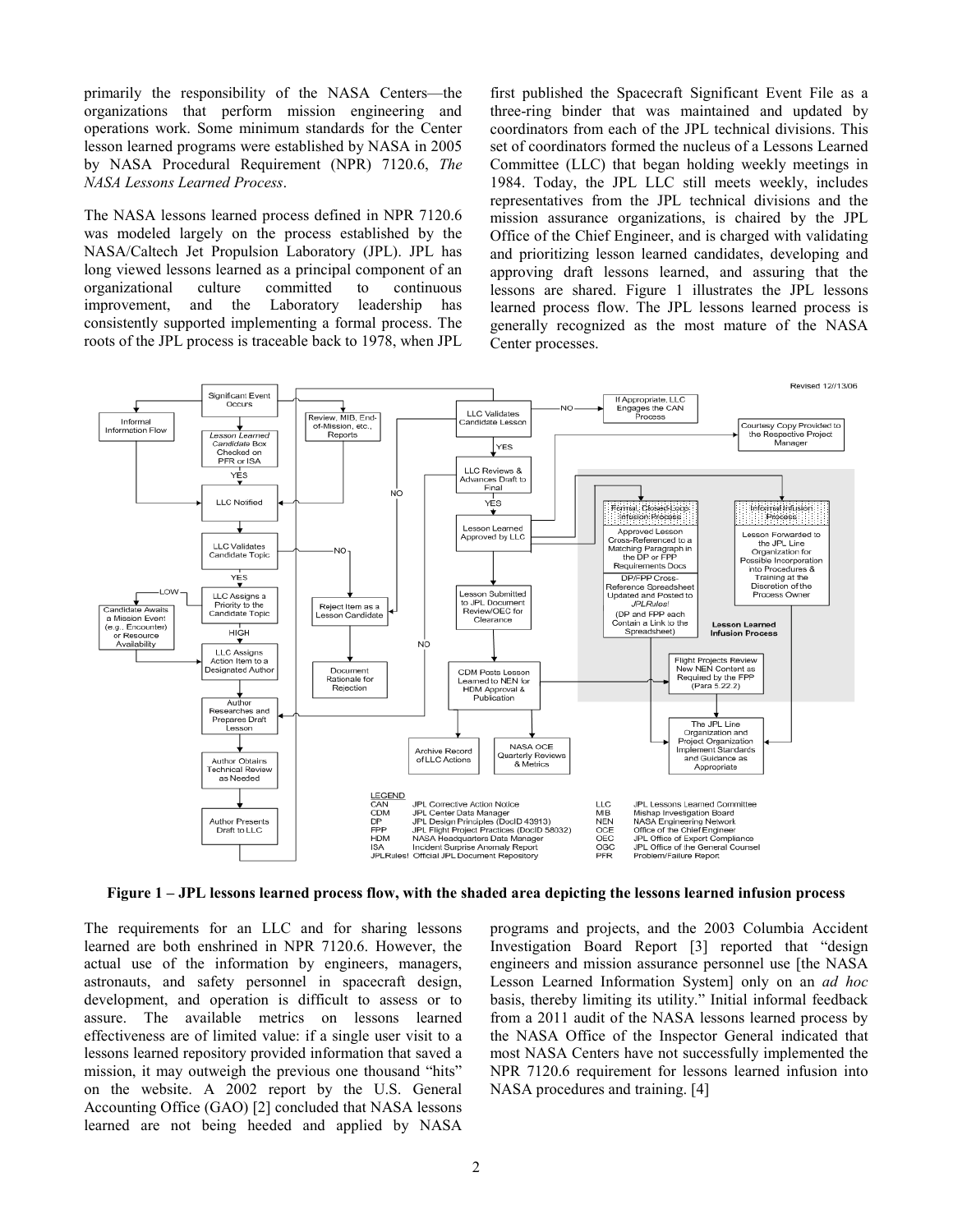primarily the responsibility of the NASA Centers—the organizations that perform mission engineering and operations work. Some minimum standards for the Center lesson learned programs were established by NASA in 2005 by NASA Procedural Requirement (NPR) 7120.6, *The NASA Lessons Learned Process*.

The NASA lessons learned process defined in NPR 7120.6 was modeled largely on the process established by the NASA/Caltech Jet Propulsion Laboratory (JPL). JPL has long viewed lessons learned as a principal component of an organizational culture committed to continuous improvement, and the Laboratory leadership has consistently supported implementing a formal process. The roots of the JPL process is traceable back to 1978, when JPL

first published the Spacecraft Significant Event File as a three-ring binder that was maintained and updated by coordinators from each of the JPL technical divisions. This set of coordinators formed the nucleus of a Lessons Learned Committee (LLC) that began holding weekly meetings in 1984. Today, the JPL LLC still meets weekly, includes representatives from the JPL technical divisions and the mission assurance organizations, is chaired by the JPL Office of the Chief Engineer, and is charged with validating and prioritizing lesson learned candidates, developing and approving draft lessons learned, and assuring that the lessons are shared. Figure 1 illustrates the JPL lessons learned process flow. The JPL lessons learned process is generally recognized as the most mature of the NASA Center processes.



**Figure 1 – JPL lessons learned process flow, with the shaded area depicting the lessons learned infusion process**

The requirements for an LLC and for sharing lessons learned are both enshrined in NPR 7120.6. However, the actual use of the information by engineers, managers, astronauts, and safety personnel in spacecraft design, development, and operation is difficult to assess or to assure. The available metrics on lessons learned effectiveness are of limited value: if a single user visit to a lessons learned repository provided information that saved a mission, it may outweigh the previous one thousand "hits" on the website. A 2002 report by the U.S. General Accounting Office (GAO) [2] concluded that NASA lessons learned are not being heeded and applied by NASA programs and projects, and the 2003 Columbia Accident Investigation Board Report [3] reported that "design engineers and mission assurance personnel use [the NASA Lesson Learned Information System] only on an *ad hoc* basis, thereby limiting its utility." Initial informal feedback from a 2011 audit of the NASA lessons learned process by the NASA Office of the Inspector General indicated that most NASA Centers have not successfully implemented the NPR 7120.6 requirement for lessons learned infusion into NASA procedures and training. [4]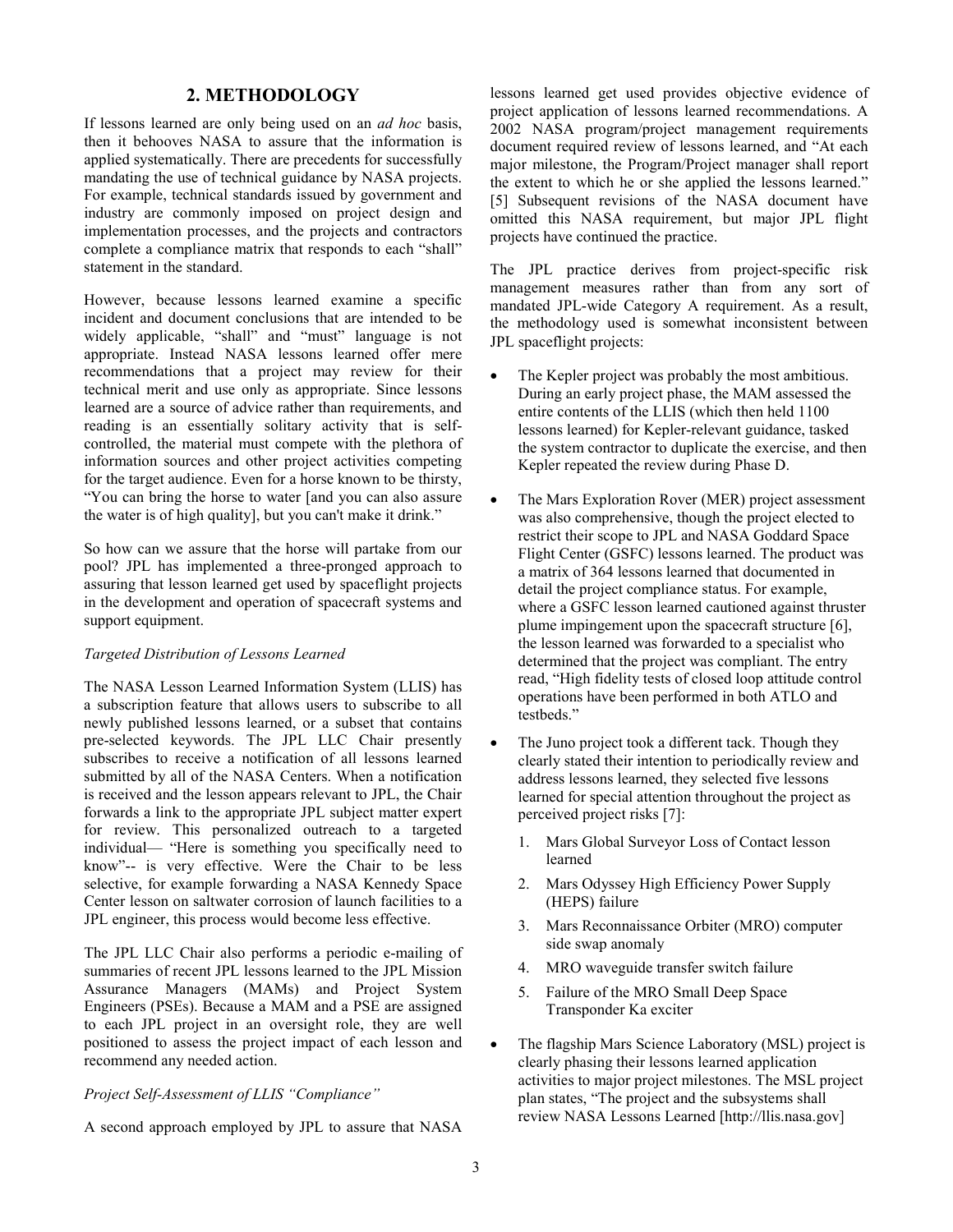## **2. METHODOLOGY**

If lessons learned are only being used on an *ad hoc* basis, then it behooves NASA to assure that the information is applied systematically. There are precedents for successfully mandating the use of technical guidance by NASA projects. For example, technical standards issued by government and industry are commonly imposed on project design and implementation processes, and the projects and contractors complete a compliance matrix that responds to each "shall" statement in the standard.

However, because lessons learned examine a specific incident and document conclusions that are intended to be widely applicable, "shall" and "must" language is not appropriate. Instead NASA lessons learned offer mere recommendations that a project may review for their technical merit and use only as appropriate. Since lessons learned are a source of advice rather than requirements, and reading is an essentially solitary activity that is selfcontrolled, the material must compete with the plethora of information sources and other project activities competing for the target audience. Even for a horse known to be thirsty, "You can bring the horse to water [and you can also assure the water is of high quality], but you can't make it drink."

So how can we assure that the horse will partake from our pool? JPL has implemented a three-pronged approach to assuring that lesson learned get used by spaceflight projects in the development and operation of spacecraft systems and support equipment.

#### *Targeted Distribution of Lessons Learned*

The NASA Lesson Learned Information System (LLIS) has a subscription feature that allows users to subscribe to all newly published lessons learned, or a subset that contains pre-selected keywords. The JPL LLC Chair presently subscribes to receive a notification of all lessons learned submitted by all of the NASA Centers. When a notification is received and the lesson appears relevant to JPL, the Chair forwards a link to the appropriate JPL subject matter expert for review. This personalized outreach to a targeted individual— "Here is something you specifically need to know"-- is very effective. Were the Chair to be less selective, for example forwarding a NASA Kennedy Space Center lesson on saltwater corrosion of launch facilities to a JPL engineer, this process would become less effective.

The JPL LLC Chair also performs a periodic e-mailing of summaries of recent JPL lessons learned to the JPL Mission Assurance Managers (MAMs) and Project System Engineers (PSEs). Because a MAM and a PSE are assigned to each JPL project in an oversight role, they are well positioned to assess the project impact of each lesson and recommend any needed action.

#### *Project Self-Assessment of LLIS "Compliance"*

A second approach employed by JPL to assure that NASA

lessons learned get used provides objective evidence of project application of lessons learned recommendations. A 2002 NASA program/project management requirements document required review of lessons learned, and "At each major milestone, the Program/Project manager shall report the extent to which he or she applied the lessons learned." [5] Subsequent revisions of the NASA document have omitted this NASA requirement, but major JPL flight projects have continued the practice.

The JPL practice derives from project-specific risk management measures rather than from any sort of mandated JPL-wide Category A requirement. As a result, the methodology used is somewhat inconsistent between JPL spaceflight projects:

- The Kepler project was probably the most ambitious. During an early project phase, the MAM assessed the entire contents of the LLIS (which then held 1100 lessons learned) for Kepler-relevant guidance, tasked the system contractor to duplicate the exercise, and then Kepler repeated the review during Phase D.
- The Mars Exploration Rover (MER) project assessment was also comprehensive, though the project elected to restrict their scope to JPL and NASA Goddard Space Flight Center (GSFC) lessons learned. The product was a matrix of 364 lessons learned that documented in detail the project compliance status. For example, where a GSFC lesson learned cautioned against thruster plume impingement upon the spacecraft structure [6], the lesson learned was forwarded to a specialist who determined that the project was compliant. The entry read, "High fidelity tests of closed loop attitude control operations have been performed in both ATLO and testbeds."
- The Juno project took a different tack. Though they clearly stated their intention to periodically review and address lessons learned, they selected five lessons learned for special attention throughout the project as perceived project risks [7]:
	- 1. Mars Global Surveyor Loss of Contact lesson learned
	- 2. Mars Odyssey High Efficiency Power Supply (HEPS) failure
	- 3. Mars Reconnaissance Orbiter (MRO) computer side swap anomaly
	- 4. MRO waveguide transfer switch failure
	- 5. Failure of the MRO Small Deep Space Transponder Ka exciter
- The flagship Mars Science Laboratory (MSL) project is clearly phasing their lessons learned application activities to major project milestones. The MSL project plan states, "The project and the subsystems shall review NASA Lessons Learned [http://llis.nasa.gov]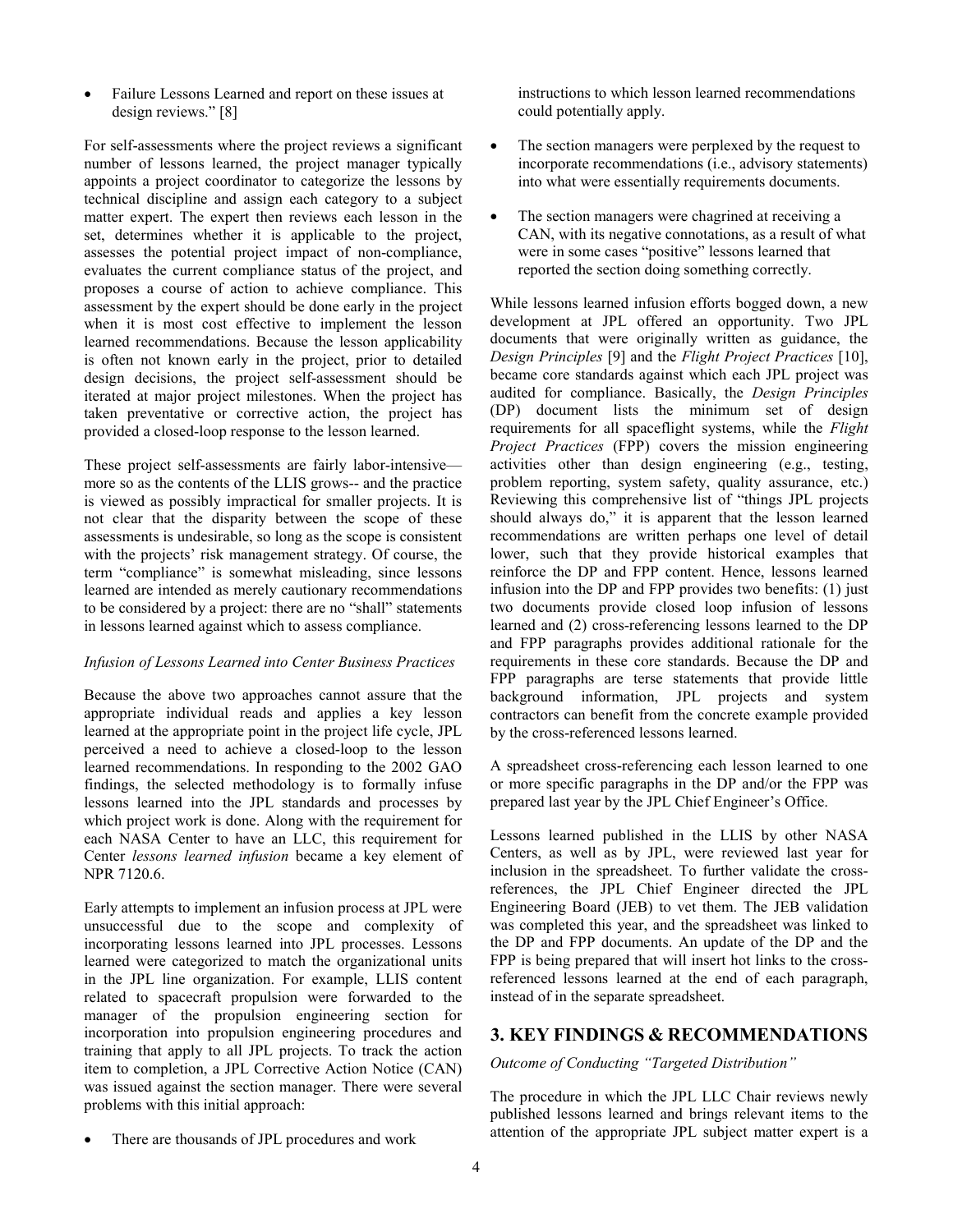• Failure Lessons Learned and report on these issues at design reviews." [8]

For self-assessments where the project reviews a significant number of lessons learned, the project manager typically appoints a project coordinator to categorize the lessons by technical discipline and assign each category to a subject matter expert. The expert then reviews each lesson in the set, determines whether it is applicable to the project, assesses the potential project impact of non-compliance, evaluates the current compliance status of the project, and proposes a course of action to achieve compliance. This assessment by the expert should be done early in the project when it is most cost effective to implement the lesson learned recommendations. Because the lesson applicability is often not known early in the project, prior to detailed design decisions, the project self-assessment should be iterated at major project milestones. When the project has taken preventative or corrective action, the project has provided a closed-loop response to the lesson learned.

These project self-assessments are fairly labor-intensive more so as the contents of the LLIS grows-- and the practice is viewed as possibly impractical for smaller projects. It is not clear that the disparity between the scope of these assessments is undesirable, so long as the scope is consistent with the projects' risk management strategy. Of course, the term "compliance" is somewhat misleading, since lessons learned are intended as merely cautionary recommendations to be considered by a project: there are no "shall" statements in lessons learned against which to assess compliance.

#### *Infusion of Lessons Learned into Center Business Practices*

Because the above two approaches cannot assure that the appropriate individual reads and applies a key lesson learned at the appropriate point in the project life cycle, JPL perceived a need to achieve a closed-loop to the lesson learned recommendations. In responding to the 2002 GAO findings, the selected methodology is to formally infuse lessons learned into the JPL standards and processes by which project work is done. Along with the requirement for each NASA Center to have an LLC, this requirement for Center *lessons learned infusion* became a key element of NPR 7120.6.

Early attempts to implement an infusion process at JPL were unsuccessful due to the scope and complexity of incorporating lessons learned into JPL processes. Lessons learned were categorized to match the organizational units in the JPL line organization. For example, LLIS content related to spacecraft propulsion were forwarded to the manager of the propulsion engineering section for incorporation into propulsion engineering procedures and training that apply to all JPL projects. To track the action item to completion, a JPL Corrective Action Notice (CAN) was issued against the section manager. There were several problems with this initial approach:

instructions to which lesson learned recommendations could potentially apply.

- The section managers were perplexed by the request to incorporate recommendations (i.e., advisory statements) into what were essentially requirements documents.
- The section managers were chagrined at receiving a CAN, with its negative connotations, as a result of what were in some cases "positive" lessons learned that reported the section doing something correctly.

While lessons learned infusion efforts bogged down, a new development at JPL offered an opportunity. Two JPL documents that were originally written as guidance, the *Design Principles* [9] and the *Flight Project Practices* [10], became core standards against which each JPL project was audited for compliance. Basically, the *Design Principles* (DP) document lists the minimum set of design requirements for all spaceflight systems, while the *Flight Project Practices* (FPP) covers the mission engineering activities other than design engineering (e.g., testing, problem reporting, system safety, quality assurance, etc.) Reviewing this comprehensive list of "things JPL projects should always do," it is apparent that the lesson learned recommendations are written perhaps one level of detail lower, such that they provide historical examples that reinforce the DP and FPP content. Hence, lessons learned infusion into the DP and FPP provides two benefits: (1) just two documents provide closed loop infusion of lessons learned and (2) cross-referencing lessons learned to the DP and FPP paragraphs provides additional rationale for the requirements in these core standards. Because the DP and FPP paragraphs are terse statements that provide little background information, JPL projects and system contractors can benefit from the concrete example provided by the cross-referenced lessons learned.

A spreadsheet cross-referencing each lesson learned to one or more specific paragraphs in the DP and/or the FPP was prepared last year by the JPL Chief Engineer's Office.

Lessons learned published in the LLIS by other NASA Centers, as well as by JPL, were reviewed last year for inclusion in the spreadsheet. To further validate the crossreferences, the JPL Chief Engineer directed the JPL Engineering Board (JEB) to vet them. The JEB validation was completed this year, and the spreadsheet was linked to the DP and FPP documents. An update of the DP and the FPP is being prepared that will insert hot links to the crossreferenced lessons learned at the end of each paragraph, instead of in the separate spreadsheet.

# **3. KEY FINDINGS & RECOMMENDATIONS**

*Outcome of Conducting "Targeted Distribution"*

The procedure in which the JPL LLC Chair reviews newly published lessons learned and brings relevant items to the attention of the appropriate JPL subject matter expert is a

There are thousands of JPL procedures and work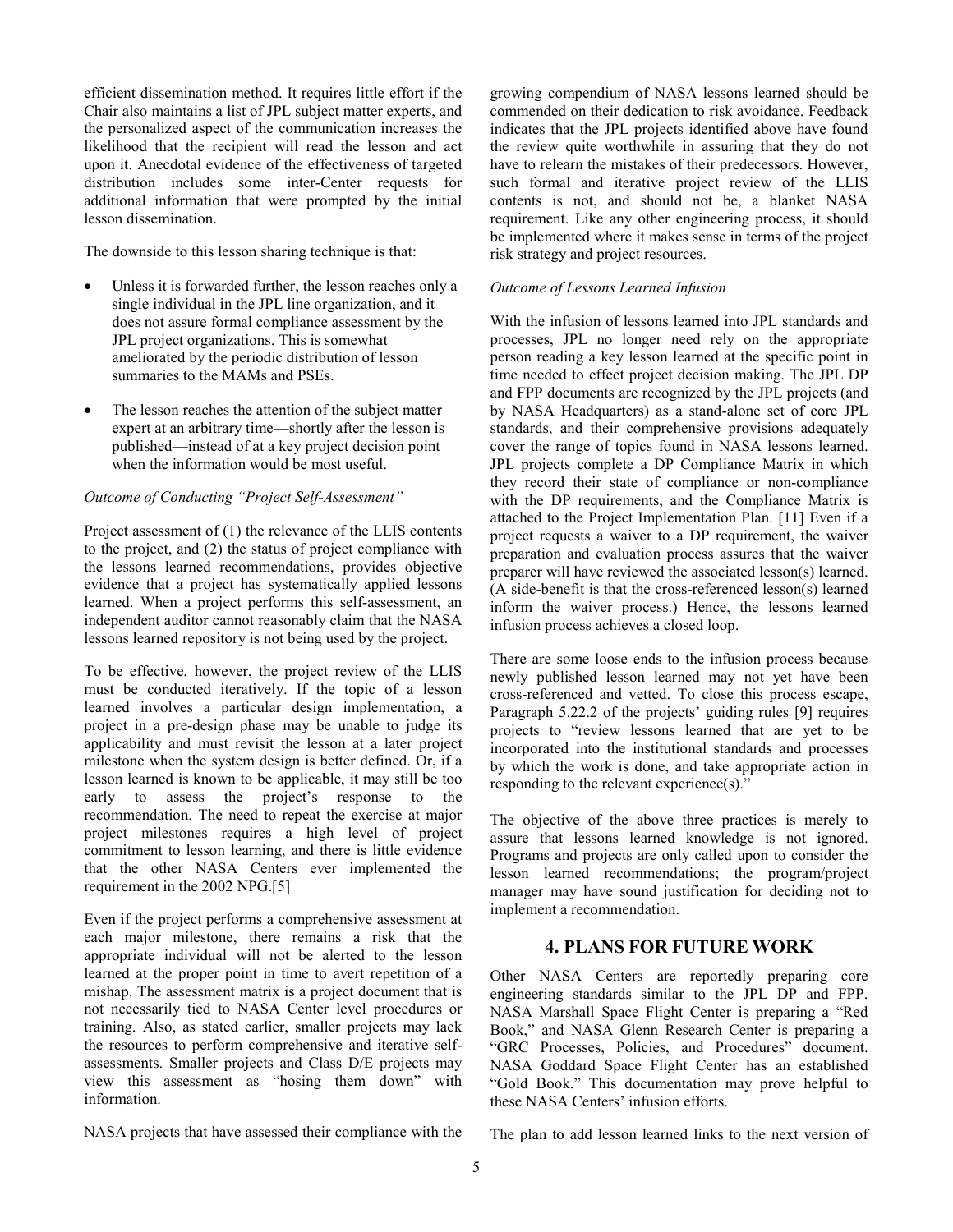efficient dissemination method. It requires little effort if the Chair also maintains a list of JPL subject matter experts, and the personalized aspect of the communication increases the likelihood that the recipient will read the lesson and act upon it. Anecdotal evidence of the effectiveness of targeted distribution includes some inter-Center requests for additional information that were prompted by the initial lesson dissemination.

The downside to this lesson sharing technique is that:

- Unless it is forwarded further, the lesson reaches only a single individual in the JPL line organization, and it does not assure formal compliance assessment by the JPL project organizations. This is somewhat ameliorated by the periodic distribution of lesson summaries to the MAMs and PSEs.
- The lesson reaches the attention of the subject matter expert at an arbitrary time—shortly after the lesson is published—instead of at a key project decision point when the information would be most useful.

## *Outcome of Conducting "Project Self-Assessment"*

Project assessment of (1) the relevance of the LLIS contents to the project, and (2) the status of project compliance with the lessons learned recommendations, provides objective evidence that a project has systematically applied lessons learned. When a project performs this self-assessment, an independent auditor cannot reasonably claim that the NASA lessons learned repository is not being used by the project.

To be effective, however, the project review of the LLIS must be conducted iteratively. If the topic of a lesson learned involves a particular design implementation, a project in a pre-design phase may be unable to judge its applicability and must revisit the lesson at a later project milestone when the system design is better defined. Or, if a lesson learned is known to be applicable, it may still be too early to assess the project's response to the recommendation. The need to repeat the exercise at major project milestones requires a high level of project commitment to lesson learning, and there is little evidence that the other NASA Centers ever implemented the requirement in the 2002 NPG.[5]

Even if the project performs a comprehensive assessment at each major milestone, there remains a risk that the appropriate individual will not be alerted to the lesson learned at the proper point in time to avert repetition of a mishap. The assessment matrix is a project document that is not necessarily tied to NASA Center level procedures or training. Also, as stated earlier, smaller projects may lack the resources to perform comprehensive and iterative selfassessments. Smaller projects and Class D/E projects may view this assessment as "hosing them down" with information.

NASA projects that have assessed their compliance with the

growing compendium of NASA lessons learned should be commended on their dedication to risk avoidance. Feedback indicates that the JPL projects identified above have found the review quite worthwhile in assuring that they do not have to relearn the mistakes of their predecessors. However, such formal and iterative project review of the LLIS contents is not, and should not be, a blanket NASA requirement. Like any other engineering process, it should be implemented where it makes sense in terms of the project risk strategy and project resources.

## *Outcome of Lessons Learned Infusion*

With the infusion of lessons learned into JPL standards and processes, JPL no longer need rely on the appropriate person reading a key lesson learned at the specific point in time needed to effect project decision making. The JPL DP and FPP documents are recognized by the JPL projects (and by NASA Headquarters) as a stand-alone set of core JPL standards, and their comprehensive provisions adequately cover the range of topics found in NASA lessons learned. JPL projects complete a DP Compliance Matrix in which they record their state of compliance or non-compliance with the DP requirements, and the Compliance Matrix is attached to the Project Implementation Plan. [11] Even if a project requests a waiver to a DP requirement, the waiver preparation and evaluation process assures that the waiver preparer will have reviewed the associated lesson(s) learned. (A side-benefit is that the cross-referenced lesson(s) learned inform the waiver process.) Hence, the lessons learned infusion process achieves a closed loop.

There are some loose ends to the infusion process because newly published lesson learned may not yet have been cross-referenced and vetted. To close this process escape, Paragraph 5.22.2 of the projects' guiding rules [9] requires projects to "review lessons learned that are yet to be incorporated into the institutional standards and processes by which the work is done, and take appropriate action in responding to the relevant experience(s)."

The objective of the above three practices is merely to assure that lessons learned knowledge is not ignored. Programs and projects are only called upon to consider the lesson learned recommendations; the program/project manager may have sound justification for deciding not to implement a recommendation.

# **4. PLANS FOR FUTURE WORK**

Other NASA Centers are reportedly preparing core engineering standards similar to the JPL DP and FPP. NASA Marshall Space Flight Center is preparing a "Red Book," and NASA Glenn Research Center is preparing a "GRC Processes, Policies, and Procedures" document. NASA Goddard Space Flight Center has an established "Gold Book." This documentation may prove helpful to these NASA Centers' infusion efforts.

The plan to add lesson learned links to the next version of